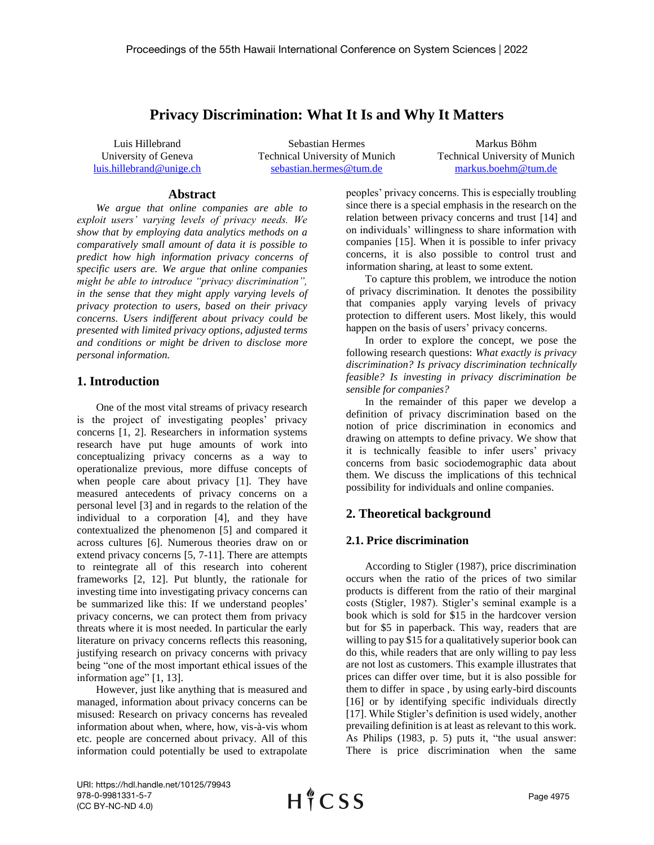# **Privacy Discrimination: What It Is and Why It Matters**

Luis Hillebrand University of Geneva [luis.hillebrand@unige.ch](mailto:luis.hillebrand@unige.ch)

Sebastian Hermes Technical University of Munich [sebastian.hermes@tum.de](mailto:sebastian.hermes@tum.de)

Markus Böhm Technical University of Munich [markus.boehm@tum.de](mailto:markus.boehm@tum.de)

### **Abstract**

*We argue that online companies are able to exploit users' varying levels of privacy needs. We show that by employing data analytics methods on a comparatively small amount of data it is possible to predict how high information privacy concerns of specific users are. We argue that online companies might be able to introduce "privacy discrimination", in the sense that they might apply varying levels of privacy protection to users, based on their privacy concerns. Users indifferent about privacy could be presented with limited privacy options, adjusted terms and conditions or might be driven to disclose more personal information.*

## **1. Introduction**

One of the most vital streams of privacy research is the project of investigating peoples' privacy concerns [1, 2]. Researchers in information systems research have put huge amounts of work into conceptualizing privacy concerns as a way to operationalize previous, more diffuse concepts of when people care about privacy [1]. They have measured antecedents of privacy concerns on a personal level [3] and in regards to the relation of the individual to a corporation [4], and they have contextualized the phenomenon [5] and compared it across cultures [6]. Numerous theories draw on or extend privacy concerns [5, 7-11]. There are attempts to reintegrate all of this research into coherent frameworks [2, 12]. Put bluntly, the rationale for investing time into investigating privacy concerns can be summarized like this: If we understand peoples' privacy concerns, we can protect them from privacy threats where it is most needed. In particular the early literature on privacy concerns reflects this reasoning, justifying research on privacy concerns with privacy being "one of the most important ethical issues of the information age" [1, 13].

However, just like anything that is measured and managed, information about privacy concerns can be misused: Research on privacy concerns has revealed information about when, where, how, vis-à-vis whom etc. people are concerned about privacy. All of this information could potentially be used to extrapolate peoples' privacy concerns. This is especially troubling since there is a special emphasis in the research on the relation between privacy concerns and trust [14] and on individuals' willingness to share information with companies [15]. When it is possible to infer privacy concerns, it is also possible to control trust and information sharing, at least to some extent.

To capture this problem, we introduce the notion of privacy discrimination. It denotes the possibility that companies apply varying levels of privacy protection to different users. Most likely, this would happen on the basis of users' privacy concerns.

In order to explore the concept, we pose the following research questions: *What exactly is privacy discrimination? Is privacy discrimination technically feasible? Is investing in privacy discrimination be sensible for companies?*

In the remainder of this paper we develop a definition of privacy discrimination based on the notion of price discrimination in economics and drawing on attempts to define privacy. We show that it is technically feasible to infer users' privacy concerns from basic sociodemographic data about them. We discuss the implications of this technical possibility for individuals and online companies.

## **2. Theoretical background**

## **2.1. Price discrimination**

According to Stigler (1987), price discrimination occurs when the ratio of the prices of two similar products is different from the ratio of their marginal costs (Stigler, 1987). Stigler's seminal example is a book which is sold for \$15 in the hardcover version but for \$5 in paperback. This way, readers that are willing to pay \$15 for a qualitatively superior book can do this, while readers that are only willing to pay less are not lost as customers. This example illustrates that prices can differ over time, but it is also possible for them to differ in space , by using early-bird discounts [16] or by identifying specific individuals directly [17]. While Stigler's definition is used widely, another prevailing definition is at least as relevant to this work. As Philips (1983, p. 5) puts it, "the usual answer: There is price discrimination when the same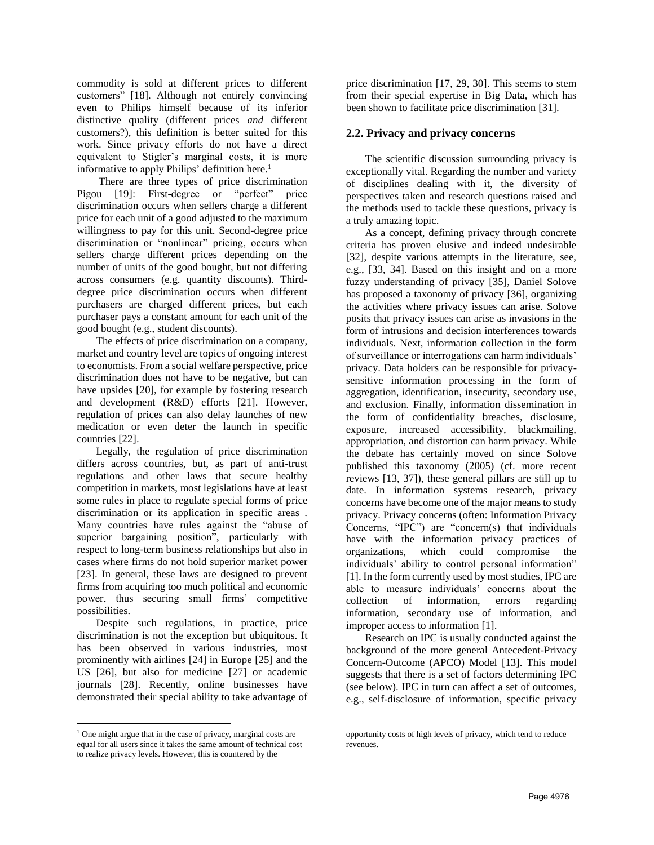commodity is sold at different prices to different customers" [18]. Although not entirely convincing even to Philips himself because of its inferior distinctive quality (different prices *and* different customers?), this definition is better suited for this work. Since privacy efforts do not have a direct equivalent to Stigler's marginal costs, it is more informative to apply Philips' definition here.<sup>1</sup>

There are three types of price discrimination Pigou [19]: First-degree or "perfect" price discrimination occurs when sellers charge a different price for each unit of a good adjusted to the maximum willingness to pay for this unit. Second-degree price discrimination or "nonlinear" pricing, occurs when sellers charge different prices depending on the number of units of the good bought, but not differing across consumers (e.g. quantity discounts). Thirddegree price discrimination occurs when different purchasers are charged different prices, but each purchaser pays a constant amount for each unit of the good bought (e.g., student discounts).

The effects of price discrimination on a company, market and country level are topics of ongoing interest to economists. From a social welfare perspective, price discrimination does not have to be negative, but can have upsides [20], for example by fostering research and development (R&D) efforts [21]. However, regulation of prices can also delay launches of new medication or even deter the launch in specific countries [22].

Legally, the regulation of price discrimination differs across countries, but, as part of anti-trust regulations and other laws that secure healthy competition in markets, most legislations have at least some rules in place to regulate special forms of price discrimination or its application in specific areas . Many countries have rules against the "abuse of superior bargaining position", particularly with respect to long-term business relationships but also in cases where firms do not hold superior market power [23]. In general, these laws are designed to prevent firms from acquiring too much political and economic power, thus securing small firms' competitive possibilities.

Despite such regulations, in practice, price discrimination is not the exception but ubiquitous. It has been observed in various industries, most prominently with airlines [24] in Europe [25] and the US [26], but also for medicine [27] or academic journals [28]. Recently, online businesses have demonstrated their special ability to take advantage of

 $\overline{a}$ 

price discrimination [17, 29, 30]. This seems to stem from their special expertise in Big Data, which has been shown to facilitate price discrimination [31].

## **2.2. Privacy and privacy concerns**

The scientific discussion surrounding privacy is exceptionally vital. Regarding the number and variety of disciplines dealing with it, the diversity of perspectives taken and research questions raised and the methods used to tackle these questions, privacy is a truly amazing topic.

As a concept, defining privacy through concrete criteria has proven elusive and indeed undesirable [32], despite various attempts in the literature, see, e.g., [33, 34]. Based on this insight and on a more fuzzy understanding of privacy [35], Daniel Solove has proposed a taxonomy of privacy [36], organizing the activities where privacy issues can arise. Solove posits that privacy issues can arise as invasions in the form of intrusions and decision interferences towards individuals. Next, information collection in the form of surveillance or interrogations can harm individuals' privacy. Data holders can be responsible for privacysensitive information processing in the form of aggregation, identification, insecurity, secondary use, and exclusion. Finally, information dissemination in the form of confidentiality breaches, disclosure, exposure, increased accessibility, blackmailing, appropriation, and distortion can harm privacy. While the debate has certainly moved on since Solove published this taxonomy (2005) (cf. more recent reviews [13, 37]), these general pillars are still up to date. In information systems research, privacy concerns have become one of the major means to study privacy. Privacy concerns (often: Information Privacy Concerns, "IPC") are "concern(s) that individuals have with the information privacy practices of organizations, which could compromise the individuals' ability to control personal information" [1]. In the form currently used by most studies, IPC are able to measure individuals' concerns about the collection of information, errors regarding information, secondary use of information, and improper access to information [1].

Research on IPC is usually conducted against the background of the more general Antecedent-Privacy Concern-Outcome (APCO) Model [13]. This model suggests that there is a set of factors determining IPC (see below). IPC in turn can affect a set of outcomes, e.g., self-disclosure of information, specific privacy

<sup>&</sup>lt;sup>1</sup> One might argue that in the case of privacy, marginal costs are equal for all users since it takes the same amount of technical cost to realize privacy levels. However, this is countered by the

opportunity costs of high levels of privacy, which tend to reduce revenues.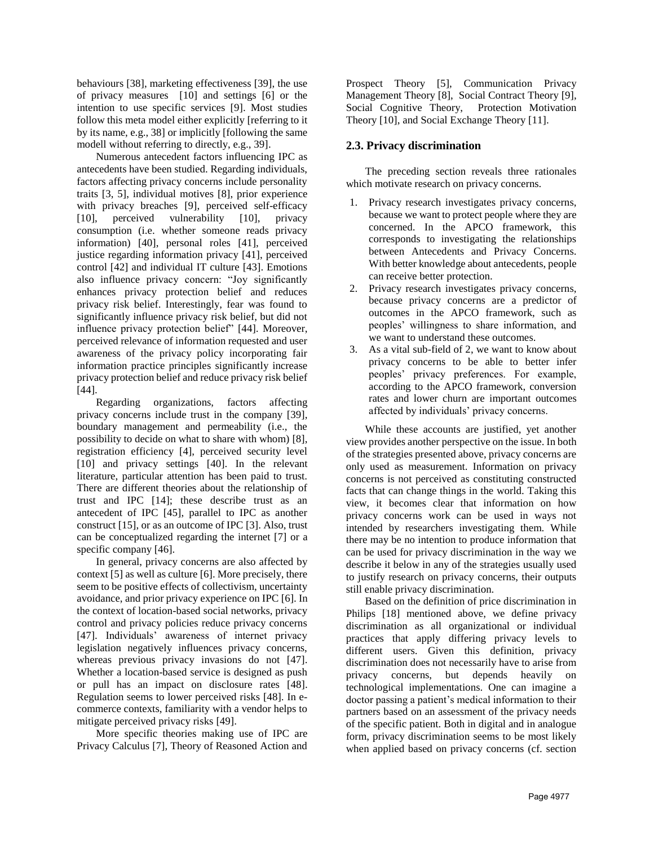behaviours [38], marketing effectiveness [39], the use of privacy measures [10] and settings [6] or the intention to use specific services [9]. Most studies follow this meta model either explicitly [referring to it by its name, e.g., 38] or implicitly [following the same modell without referring to directly, e.g., 39].

Numerous antecedent factors influencing IPC as antecedents have been studied. Regarding individuals, factors affecting privacy concerns include personality traits [3, 5], individual motives [8], prior experience with privacy breaches [9], perceived self-efficacy [10], perceived vulnerability [10], privacy consumption (i.e. whether someone reads privacy information) [40], personal roles [41], perceived justice regarding information privacy [41], perceived control [42] and individual IT culture [43]. Emotions also influence privacy concern: "Joy significantly enhances privacy protection belief and reduces privacy risk belief. Interestingly, fear was found to significantly influence privacy risk belief, but did not influence privacy protection belief" [44]. Moreover, perceived relevance of information requested and user awareness of the privacy policy incorporating fair information practice principles significantly increase privacy protection belief and reduce privacy risk belief [44].

Regarding organizations, factors affecting privacy concerns include trust in the company [39], boundary management and permeability (i.e., the possibility to decide on what to share with whom) [8], registration efficiency [4], perceived security level [10] and privacy settings [40]. In the relevant literature, particular attention has been paid to trust. There are different theories about the relationship of trust and IPC [14]; these describe trust as an antecedent of IPC [45], parallel to IPC as another construct [15], or as an outcome of IPC [3]. Also, trust can be conceptualized regarding the internet [7] or a specific company [46].

In general, privacy concerns are also affected by context [5] as well as culture [6]. More precisely, there seem to be positive effects of collectivism, uncertainty avoidance, and prior privacy experience on IPC [6]. In the context of location-based social networks, privacy control and privacy policies reduce privacy concerns [47]. Individuals' awareness of internet privacy legislation negatively influences privacy concerns, whereas previous privacy invasions do not [47]. Whether a location-based service is designed as push or pull has an impact on disclosure rates [48]. Regulation seems to lower perceived risks [48]. In ecommerce contexts, familiarity with a vendor helps to mitigate perceived privacy risks [49].

More specific theories making use of IPC are Privacy Calculus [7], Theory of Reasoned Action and Prospect Theory [5], Communication Privacy Management Theory [8], Social Contract Theory [9], Social Cognitive Theory, Protection Motivation Theory [10], and Social Exchange Theory [11].

## **2.3. Privacy discrimination**

The preceding section reveals three rationales which motivate research on privacy concerns.

- 1. Privacy research investigates privacy concerns, because we want to protect people where they are concerned. In the APCO framework, this corresponds to investigating the relationships between Antecedents and Privacy Concerns. With better knowledge about antecedents, people can receive better protection.
- 2. Privacy research investigates privacy concerns, because privacy concerns are a predictor of outcomes in the APCO framework, such as peoples' willingness to share information, and we want to understand these outcomes.
- 3. As a vital sub-field of 2, we want to know about privacy concerns to be able to better infer peoples' privacy preferences. For example, according to the APCO framework, conversion rates and lower churn are important outcomes affected by individuals' privacy concerns.

While these accounts are justified, yet another view provides another perspective on the issue. In both of the strategies presented above, privacy concerns are only used as measurement. Information on privacy concerns is not perceived as constituting constructed facts that can change things in the world. Taking this view, it becomes clear that information on how privacy concerns work can be used in ways not intended by researchers investigating them. While there may be no intention to produce information that can be used for privacy discrimination in the way we describe it below in any of the strategies usually used to justify research on privacy concerns, their outputs still enable privacy discrimination.

Based on the definition of price discrimination in Philips [18] mentioned above, we define privacy discrimination as all organizational or individual practices that apply differing privacy levels to different users. Given this definition, privacy discrimination does not necessarily have to arise from privacy concerns, but depends heavily on technological implementations. One can imagine a doctor passing a patient's medical information to their partners based on an assessment of the privacy needs of the specific patient. Both in digital and in analogue form, privacy discrimination seems to be most likely when applied based on privacy concerns (cf. section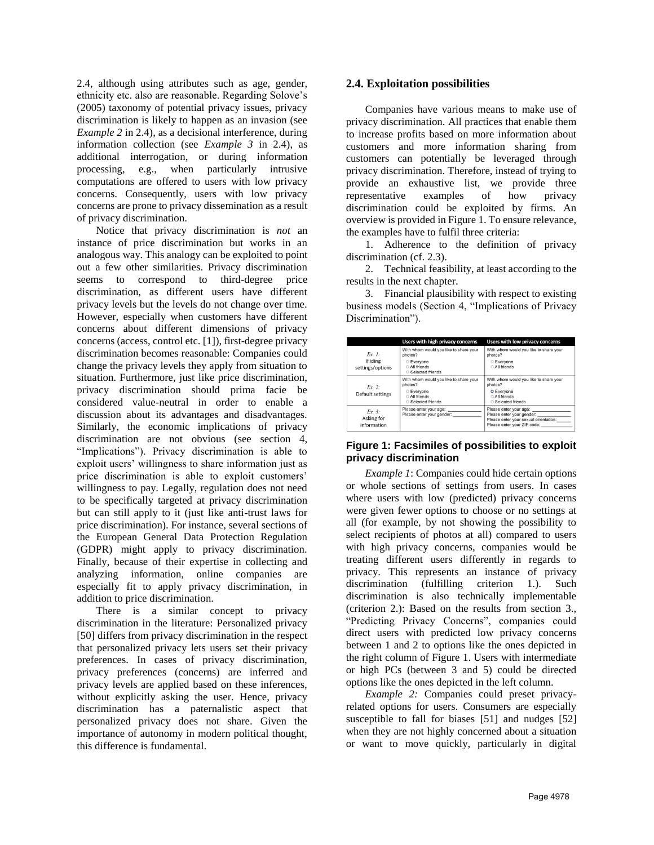2.4, although using attributes such as age, gender, ethnicity etc. also are reasonable. Regarding Solove's (2005) taxonomy of potential privacy issues, privacy discrimination is likely to happen as an invasion (see *Example 2* in 2.4), as a decisional interference, during information collection (see *Example 3* in 2.4), as additional interrogation, or during information processing, e.g., when particularly intrusive computations are offered to users with low privacy concerns. Consequently, users with low privacy concerns are prone to privacy dissemination as a result of privacy discrimination.

Notice that privacy discrimination is *not* an instance of price discrimination but works in an analogous way. This analogy can be exploited to point out a few other similarities. Privacy discrimination seems to correspond to third-degree price discrimination, as different users have different privacy levels but the levels do not change over time. However, especially when customers have different concerns about different dimensions of privacy concerns (access, control etc. [1]), first-degree privacy discrimination becomes reasonable: Companies could change the privacy levels they apply from situation to situation. Furthermore, just like price discrimination, privacy discrimination should prima facie be considered value-neutral in order to enable a discussion about its advantages and disadvantages. Similarly, the economic implications of privacy discrimination are not obvious (see section 4, "Implications"). Privacy discrimination is able to exploit users' willingness to share information just as price discrimination is able to exploit customers' willingness to pay. Legally, regulation does not need to be specifically targeted at privacy discrimination but can still apply to it (just like anti-trust laws for price discrimination). For instance, several sections of the European General Data Protection Regulation (GDPR) might apply to privacy discrimination. Finally, because of their expertise in collecting and analyzing information, online companies are especially fit to apply privacy discrimination, in addition to price discrimination.

There is a similar concept to privacy discrimination in the literature: Personalized privacy [50] differs from privacy discrimination in the respect that personalized privacy lets users set their privacy preferences. In cases of privacy discrimination, privacy preferences (concerns) are inferred and privacy levels are applied based on these inferences, without explicitly asking the user. Hence, privacy discrimination has a paternalistic aspect that personalized privacy does not share. Given the importance of autonomy in modern political thought, this difference is fundamental.

#### **2.4. Exploitation possibilities**

Companies have various means to make use of privacy discrimination. All practices that enable them to increase profits based on more information about customers and more information sharing from customers can potentially be leveraged through privacy discrimination. Therefore, instead of trying to provide an exhaustive list, we provide three representative examples of how privacy discrimination could be exploited by firms. An overview is provided in Figure 1. To ensure relevance, the examples have to fulfil three criteria:

1. Adherence to the definition of privacy discrimination (cf. 2.3).

2. Technical feasibility, at least according to the results in the next chapter.

3. Financial plausibility with respect to existing business models (Section 4, "Implications of Privacy Discrimination").

|                                     | Users with high privacy concerns                    | Users with low privacy concerns                                                                                             |  |  |
|-------------------------------------|-----------------------------------------------------|-----------------------------------------------------------------------------------------------------------------------------|--|--|
| $Fx$ $1$                            | With whom would you like to share your<br>photos?   | With whom would you like to share your<br>photos?                                                                           |  |  |
| Hiding<br>settings/options          | ○ Everyone<br>○ All friends<br>○ Selected friends   | ○ Everyone<br>O All friends                                                                                                 |  |  |
| $Fx$ 2:<br>Default settings         | With whom would you like to share your<br>photos?   | With whom would you like to share your<br>photos?                                                                           |  |  |
|                                     | ○ Everyone<br>○ All friends<br>○ Selected friends   | O Everyone<br>All friends<br>○ Selected friends                                                                             |  |  |
| $Fx-3$<br>Asking for<br>information | Please enter your age:<br>Please enter your gender: | Please enter your age:<br>Please enter your gender:<br>Please enter your sexual orientation:<br>Please enter your ZIP code: |  |  |

### **Figure 1: Facsimiles of possibilities to exploit privacy discrimination**

*Example 1*: Companies could hide certain options or whole sections of settings from users. In cases where users with low (predicted) privacy concerns were given fewer options to choose or no settings at all (for example, by not showing the possibility to select recipients of photos at all) compared to users with high privacy concerns, companies would be treating different users differently in regards to privacy. This represents an instance of privacy discrimination (fulfilling criterion 1.). Such discrimination is also technically implementable (criterion 2.): Based on the results from section 3., "Predicting Privacy Concerns", companies could direct users with predicted low privacy concerns between 1 and 2 to options like the ones depicted in the right column of Figure 1. Users with intermediate or high PCs (between 3 and 5) could be directed options like the ones depicted in the left column.

*Example 2:* Companies could preset privacyrelated options for users. Consumers are especially susceptible to fall for biases [51] and nudges [52] when they are not highly concerned about a situation or want to move quickly, particularly in digital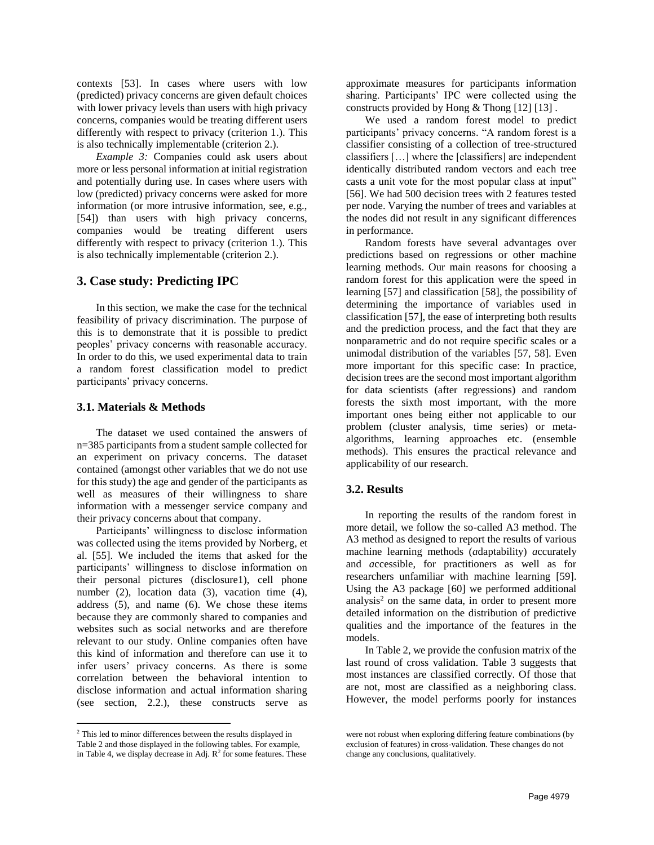contexts [53]. In cases where users with low (predicted) privacy concerns are given default choices with lower privacy levels than users with high privacy concerns, companies would be treating different users differently with respect to privacy (criterion 1.). This is also technically implementable (criterion 2.).

*Example 3:* Companies could ask users about more or less personal information at initial registration and potentially during use. In cases where users with low (predicted) privacy concerns were asked for more information (or more intrusive information, see, e.g., [54]) than users with high privacy concerns, companies would be treating different users differently with respect to privacy (criterion 1.). This is also technically implementable (criterion 2.).

### **3. Case study: Predicting IPC**

In this section, we make the case for the technical feasibility of privacy discrimination. The purpose of this is to demonstrate that it is possible to predict peoples' privacy concerns with reasonable accuracy. In order to do this, we used experimental data to train a random forest classification model to predict participants' privacy concerns.

#### **3.1. Materials & Methods**

The dataset we used contained the answers of n=385 participants from a student sample collected for an experiment on privacy concerns. The dataset contained (amongst other variables that we do not use for this study) the age and gender of the participants as well as measures of their willingness to share information with a messenger service company and their privacy concerns about that company.

Participants' willingness to disclose information was collected using the items provided by Norberg, et al. [55]. We included the items that asked for the participants' willingness to disclose information on their personal pictures (disclosure1), cell phone number (2), location data (3), vacation time (4), address (5), and name (6). We chose these items because they are commonly shared to companies and websites such as social networks and are therefore relevant to our study. Online companies often have this kind of information and therefore can use it to infer users' privacy concerns. As there is some correlation between the behavioral intention to disclose information and actual information sharing (see section, 2.2.), these constructs serve as

 $\overline{a}$ 

approximate measures for participants information sharing. Participants' IPC were collected using the constructs provided by Hong & Thong [12] [13] .

We used a random forest model to predict participants' privacy concerns. "A random forest is a classifier consisting of a collection of tree-structured classifiers […] where the [classifiers] are independent identically distributed random vectors and each tree casts a unit vote for the most popular class at input" [56]. We had 500 decision trees with 2 features tested per node. Varying the number of trees and variables at the nodes did not result in any significant differences in performance.

Random forests have several advantages over predictions based on regressions or other machine learning methods. Our main reasons for choosing a random forest for this application were the speed in learning [57] and classification [58], the possibility of determining the importance of variables used in classification [57], the ease of interpreting both results and the prediction process, and the fact that they are nonparametric and do not require specific scales or a unimodal distribution of the variables [57, 58]. Even more important for this specific case: In practice, decision trees are the second most important algorithm for data scientists (after regressions) and random forests the sixth most important, with the more important ones being either not applicable to our problem (cluster analysis, time series) or metaalgorithms, learning approaches etc. (ensemble methods). This ensures the practical relevance and applicability of our research.

#### **3.2. Results**

In reporting the results of the random forest in more detail, we follow the so-called A3 method. The A3 method as designed to report the results of various machine learning methods (*a*daptability) *a*ccurately and *a*ccessible, for practitioners as well as for researchers unfamiliar with machine learning [59]. Using the A3 package [60] we performed additional analysis<sup>2</sup> on the same data, in order to present more detailed information on the distribution of predictive qualities and the importance of the features in the models.

In Table 2, we provide the confusion matrix of the last round of cross validation. Table 3 suggests that most instances are classified correctly. Of those that are not, most are classified as a neighboring class. However, the model performs poorly for instances

<sup>2</sup> This led to minor differences between the results displayed in Table 2 and those displayed in the following tables. For example, in Table 4, we display decrease in Adj.  $\mathbb{R}^2$  for some features. These

were not robust when exploring differing feature combinations (by exclusion of features) in cross-validation. These changes do not change any conclusions, qualitatively.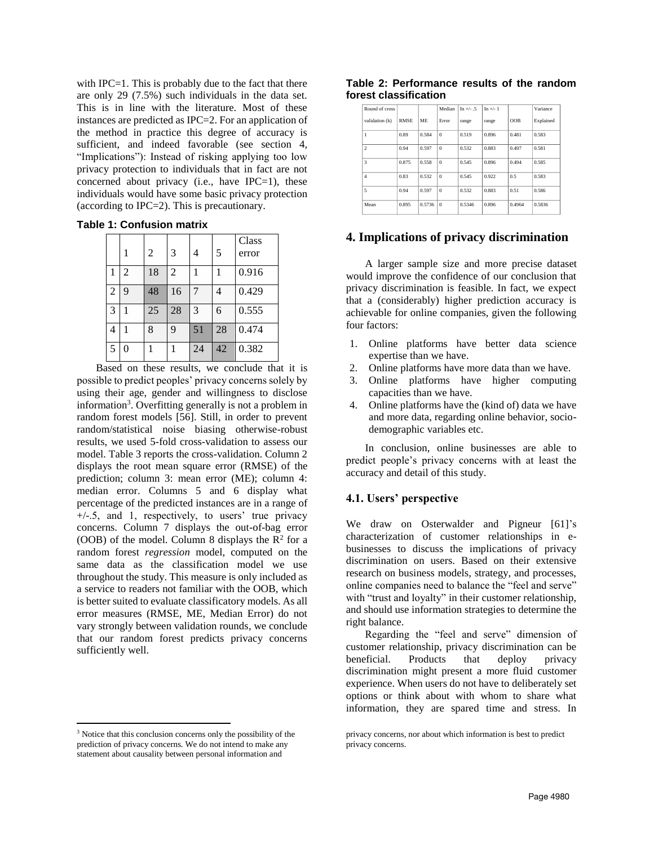with IPC=1. This is probably due to the fact that there are only 29 (7.5%) such individuals in the data set. This is in line with the literature. Most of these instances are predicted as IPC=2. For an application of the method in practice this degree of accuracy is sufficient, and indeed favorable (see section 4, "Implications"): Instead of risking applying too low privacy protection to individuals that in fact are not concerned about privacy (i.e., have IPC=1), these individuals would have some basic privacy protection (according to IPC=2). This is precautionary.

| <b>Table 1: Confusion matrix</b> |  |
|----------------------------------|--|
|----------------------------------|--|

|   |   | 2  | 3  | 4  | 5  | Class<br>error |
|---|---|----|----|----|----|----------------|
| 1 | 2 | 18 | 2  |    |    | 0.916          |
| 2 | 9 | 48 | 16 |    | 4  | 0.429          |
| 3 |   | 25 | 28 | 3  | 6  | 0.555          |
| 4 |   | 8  | 9  | 51 | 28 | 0.474          |
| 5 | 0 |    |    | 24 | 42 | 0.382          |

Based on these results, we conclude that it is possible to predict peoples' privacy concerns solely by using their age, gender and willingness to disclose information<sup>3</sup>. Overfitting generally is not a problem in random forest models [56]. Still, in order to prevent random/statistical noise biasing otherwise-robust results, we used 5-fold cross-validation to assess our model. Table 3 reports the cross-validation. Column 2 displays the root mean square error (RMSE) of the prediction; column 3: mean error (ME); column 4: median error. Columns 5 and 6 display what percentage of the predicted instances are in a range of +/-.5, and 1, respectively, to users' true privacy concerns. Column 7 displays the out-of-bag error (OOB) of the model. Column 8 displays the  $R^2$  for a random forest *regression* model, computed on the same data as the classification model we use throughout the study. This measure is only included as a service to readers not familiar with the OOB, which is better suited to evaluate classificatory models. As all error measures (RMSE, ME, Median Error) do not vary strongly between validation rounds, we conclude that our random forest predicts privacy concerns sufficiently well.

 $\overline{a}$ 

|  | Table 2: Performance results of the random |  |  |
|--|--------------------------------------------|--|--|
|  | forest classification                      |  |  |

| Round of cross |             |           | Median   | $In +/- .5$ | $In +/- 1$ |        | Variance  |
|----------------|-------------|-----------|----------|-------------|------------|--------|-----------|
| validation (k) | <b>RMSE</b> | <b>MF</b> | Error    | range       | range      | OOB    | Explained |
|                | 0.89        | 0.584     | $\theta$ | 0.519       | 0.896      | 0.481  | 0.583     |
| $\overline{c}$ | 0.94        | 0.597     | $\theta$ | 0.532       | 0.883      | 0.497  | 0.581     |
| 3              | 0.875       | 0.558     | $\theta$ | 0.545       | 0.896      | 0.494  | 0.585     |
| $\overline{4}$ | 0.83        | 0.532     | $\theta$ | 0.545       | 0.922      | 0.5    | 0.583     |
| 5              | 0.94        | 0.597     | $\theta$ | 0.532       | 0.883      | 0.51   | 0.586     |
| Mean           | 0.895       | 0.5736    | $\theta$ | 0.5346      | 0.896      | 0.4964 | 0.5836    |

## **4. Implications of privacy discrimination**

A larger sample size and more precise dataset would improve the confidence of our conclusion that privacy discrimination is feasible. In fact, we expect that a (considerably) higher prediction accuracy is achievable for online companies, given the following four factors:

- 1. Online platforms have better data science expertise than we have.
- 2. Online platforms have more data than we have.
- 3. Online platforms have higher computing capacities than we have.
- 4. Online platforms have the (kind of) data we have and more data, regarding online behavior, sociodemographic variables etc.

In conclusion, online businesses are able to predict people's privacy concerns with at least the accuracy and detail of this study.

## **4.1. Users' perspective**

We draw on Osterwalder and Pigneur [61]'s characterization of customer relationships in ebusinesses to discuss the implications of privacy discrimination on users. Based on their extensive research on business models, strategy, and processes, online companies need to balance the "feel and serve" with "trust and loyalty" in their customer relationship, and should use information strategies to determine the right balance.

Regarding the "feel and serve" dimension of customer relationship, privacy discrimination can be beneficial. Products that deploy privacy discrimination might present a more fluid customer experience. When users do not have to deliberately set options or think about with whom to share what information, they are spared time and stress. In

<sup>&</sup>lt;sup>3</sup> Notice that this conclusion concerns only the possibility of the prediction of privacy concerns. We do not intend to make any statement about causality between personal information and

privacy concerns, nor about which information is best to predict privacy concerns.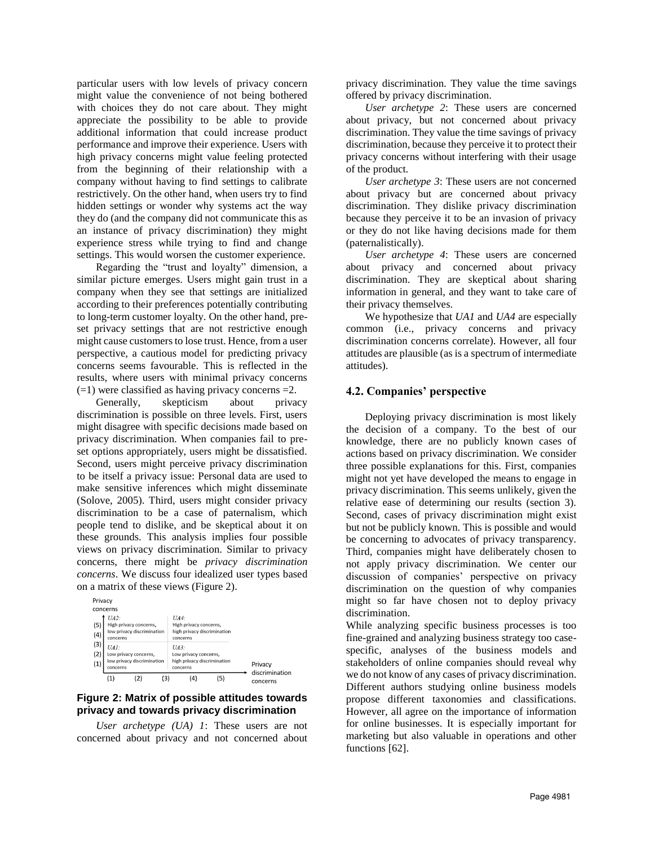particular users with low levels of privacy concern might value the convenience of not being bothered with choices they do not care about. They might appreciate the possibility to be able to provide additional information that could increase product performance and improve their experience. Users with high privacy concerns might value feeling protected from the beginning of their relationship with a company without having to find settings to calibrate restrictively. On the other hand, when users try to find hidden settings or wonder why systems act the way they do (and the company did not communicate this as an instance of privacy discrimination) they might experience stress while trying to find and change settings. This would worsen the customer experience.

Regarding the "trust and loyalty" dimension, a similar picture emerges. Users might gain trust in a company when they see that settings are initialized according to their preferences potentially contributing to long-term customer loyalty. On the other hand, preset privacy settings that are not restrictive enough might cause customers to lose trust. Hence, from a user perspective, a cautious model for predicting privacy concerns seems favourable. This is reflected in the results, where users with minimal privacy concerns  $(=1)$  were classified as having privacy concerns  $=2$ .

Generally, skepticism about privacy discrimination is possible on three levels. First, users might disagree with specific decisions made based on privacy discrimination. When companies fail to preset options appropriately, users might be dissatisfied. Second, users might perceive privacy discrimination to be itself a privacy issue: Personal data are used to make sensitive inferences which might disseminate (Solove, 2005). Third, users might consider privacy discrimination to be a case of paternalism, which people tend to dislike, and be skeptical about it on these grounds. This analysis implies four possible views on privacy discrimination. Similar to privacy concerns, there might be *privacy discrimination concerns*. We discuss four idealized user types based on a matrix of these views (Figure 2).



#### **Figure 2: Matrix of possible attitudes towards privacy and towards privacy discrimination**

*User archetype (UA) 1*: These users are not concerned about privacy and not concerned about privacy discrimination. They value the time savings offered by privacy discrimination.

*User archetype 2*: These users are concerned about privacy, but not concerned about privacy discrimination. They value the time savings of privacy discrimination, because they perceive it to protect their privacy concerns without interfering with their usage of the product.

*User archetype 3*: These users are not concerned about privacy but are concerned about privacy discrimination. They dislike privacy discrimination because they perceive it to be an invasion of privacy or they do not like having decisions made for them (paternalistically).

*User archetype 4*: These users are concerned about privacy and concerned about privacy discrimination. They are skeptical about sharing information in general, and they want to take care of their privacy themselves.

We hypothesize that *UA1* and *UA4* are especially common (i.e., privacy concerns and privacy discrimination concerns correlate). However, all four attitudes are plausible (as is a spectrum of intermediate attitudes).

## **4.2. Companies' perspective**

Deploying privacy discrimination is most likely the decision of a company. To the best of our knowledge, there are no publicly known cases of actions based on privacy discrimination. We consider three possible explanations for this. First, companies might not yet have developed the means to engage in privacy discrimination. This seems unlikely, given the relative ease of determining our results (section 3). Second, cases of privacy discrimination might exist but not be publicly known. This is possible and would be concerning to advocates of privacy transparency. Third, companies might have deliberately chosen to not apply privacy discrimination. We center our discussion of companies' perspective on privacy discrimination on the question of why companies might so far have chosen not to deploy privacy discrimination.

While analyzing specific business processes is too fine-grained and analyzing business strategy too casespecific, analyses of the business models and stakeholders of online companies should reveal why we do not know of any cases of privacy discrimination. Different authors studying online business models propose different taxonomies and classifications. However, all agree on the importance of information for online businesses. It is especially important for marketing but also valuable in operations and other functions [62].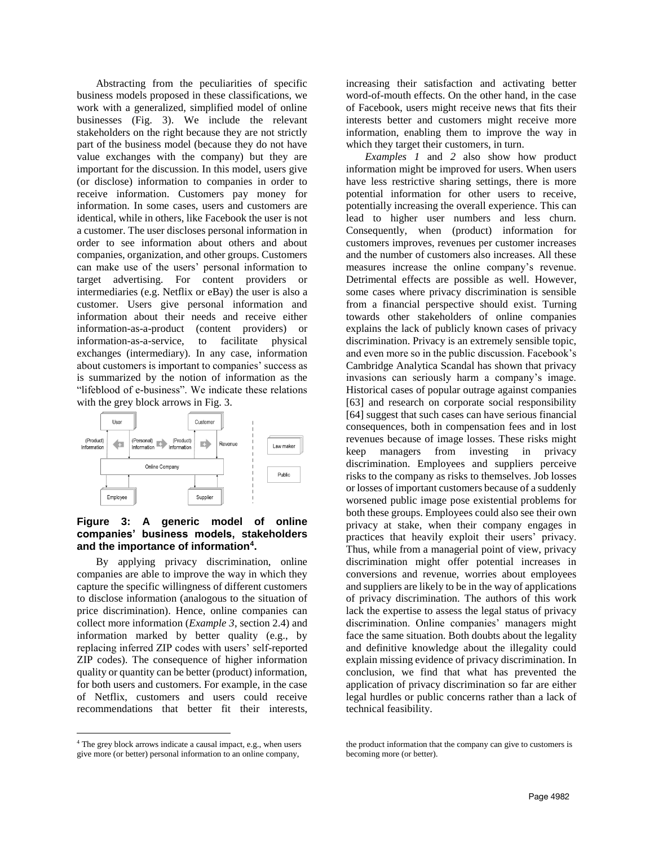Abstracting from the peculiarities of specific business models proposed in these classifications, we work with a generalized, simplified model of online businesses (Fig. 3). We include the relevant stakeholders on the right because they are not strictly part of the business model (because they do not have value exchanges with the company) but they are important for the discussion. In this model, users give (or disclose) information to companies in order to receive information. Customers pay money for information. In some cases, users and customers are identical, while in others, like Facebook the user is not a customer. The user discloses personal information in order to see information about others and about companies, organization, and other groups. Customers can make use of the users' personal information to target advertising. For content providers or intermediaries (e.g. Netflix or eBay) the user is also a customer. Users give personal information and information about their needs and receive either information-as-a-product (content providers) or information-as-a-service, to facilitate physical exchanges (intermediary). In any case, information about customers is important to companies' success as is summarized by the notion of information as the "lifeblood of e-business". We indicate these relations with the grey block arrows in Fig. 3.



### **Figure 3: A generic model of online companies' business models, stakeholders and the importance of information<sup>4</sup> .**

By applying privacy discrimination, online companies are able to improve the way in which they capture the specific willingness of different customers to disclose information (analogous to the situation of price discrimination). Hence, online companies can collect more information (*Example 3*, section 2.4) and information marked by better quality (e.g., by replacing inferred ZIP codes with users' self-reported ZIP codes). The consequence of higher information quality or quantity can be better (product) information, for both users and customers. For example, in the case of Netflix, customers and users could receive recommendations that better fit their interests,

<sup>4</sup> The grey block arrows indicate a causal impact, e.g., when users give more (or better) personal information to an online company,

 $\overline{a}$ 

increasing their satisfaction and activating better word-of-mouth effects. On the other hand, in the case of Facebook, users might receive news that fits their interests better and customers might receive more information, enabling them to improve the way in which they target their customers, in turn.

*Examples 1* and *2* also show how product information might be improved for users. When users have less restrictive sharing settings, there is more potential information for other users to receive, potentially increasing the overall experience. This can lead to higher user numbers and less churn. Consequently, when (product) information for customers improves, revenues per customer increases and the number of customers also increases. All these measures increase the online company's revenue. Detrimental effects are possible as well. However, some cases where privacy discrimination is sensible from a financial perspective should exist. Turning towards other stakeholders of online companies explains the lack of publicly known cases of privacy discrimination. Privacy is an extremely sensible topic, and even more so in the public discussion. Facebook's Cambridge Analytica Scandal has shown that privacy invasions can seriously harm a company's image. Historical cases of popular outrage against companies [63] and research on corporate social responsibility [64] suggest that such cases can have serious financial consequences, both in compensation fees and in lost revenues because of image losses. These risks might keep managers from investing in privacy discrimination. Employees and suppliers perceive risks to the company as risks to themselves. Job losses or losses of important customers because of a suddenly worsened public image pose existential problems for both these groups. Employees could also see their own privacy at stake, when their company engages in practices that heavily exploit their users' privacy. Thus, while from a managerial point of view, privacy discrimination might offer potential increases in conversions and revenue, worries about employees and suppliers are likely to be in the way of applications of privacy discrimination. The authors of this work lack the expertise to assess the legal status of privacy discrimination. Online companies' managers might face the same situation. Both doubts about the legality and definitive knowledge about the illegality could explain missing evidence of privacy discrimination. In conclusion, we find that what has prevented the application of privacy discrimination so far are either legal hurdles or public concerns rather than a lack of technical feasibility.

the product information that the company can give to customers is becoming more (or better).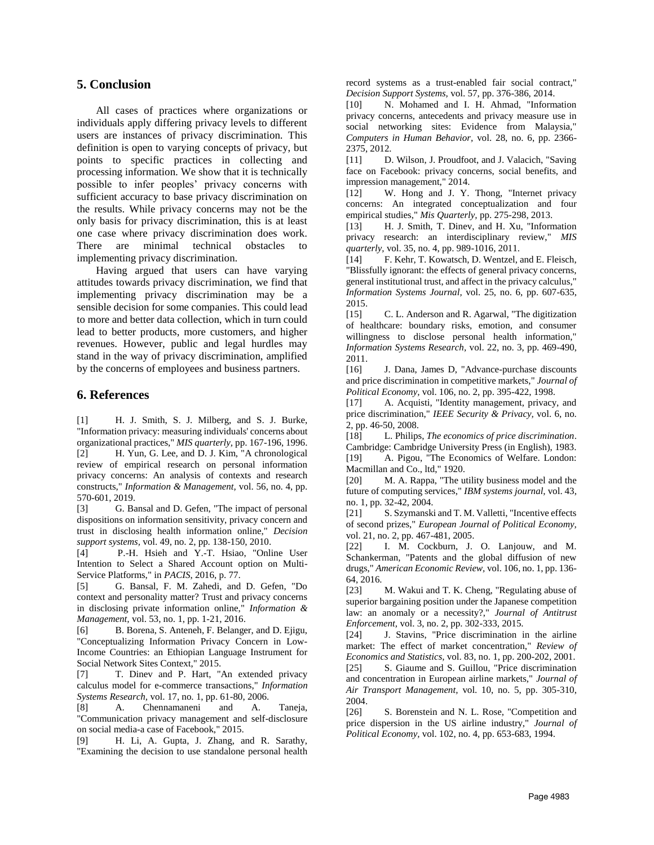## **5. Conclusion**

All cases of practices where organizations or individuals apply differing privacy levels to different users are instances of privacy discrimination. This definition is open to varying concepts of privacy, but points to specific practices in collecting and processing information. We show that it is technically possible to infer peoples' privacy concerns with sufficient accuracy to base privacy discrimination on the results. While privacy concerns may not be the only basis for privacy discrimination, this is at least one case where privacy discrimination does work. There are minimal technical obstacles to implementing privacy discrimination.

Having argued that users can have varying attitudes towards privacy discrimination, we find that implementing privacy discrimination may be a sensible decision for some companies. This could lead to more and better data collection, which in turn could lead to better products, more customers, and higher revenues. However, public and legal hurdles may stand in the way of privacy discrimination, amplified by the concerns of employees and business partners.

## **6. References**

[1] H. J. Smith, S. J. Milberg, and S. J. Burke, "Information privacy: measuring individuals' concerns about organizational practices," *MIS quarterly,* pp. 167-196, 1996. [2] H. Yun, G. Lee, and D. J. Kim, "A chronological review of empirical research on personal information privacy concerns: An analysis of contexts and research constructs," *Information & Management,* vol. 56, no. 4, pp. 570-601, 2019.

[3] G. Bansal and D. Gefen, "The impact of personal dispositions on information sensitivity, privacy concern and trust in disclosing health information online," *Decision support systems,* vol. 49, no. 2, pp. 138-150, 2010.

[4] P.-H. Hsieh and Y.-T. Hsiao, "Online User Intention to Select a Shared Account option on Multi-Service Platforms," in *PACIS*, 2016, p. 77.

[5] G. Bansal, F. M. Zahedi, and D. Gefen, "Do context and personality matter? Trust and privacy concerns in disclosing private information online," *Information & Management,* vol. 53, no. 1, pp. 1-21, 2016.

[6] B. Borena, S. Anteneh, F. Belanger, and D. Ejigu, "Conceptualizing Information Privacy Concern in Low-Income Countries: an Ethiopian Language Instrument for Social Network Sites Context," 2015.

[7] T. Dinev and P. Hart, "An extended privacy calculus model for e-commerce transactions," *Information Systems Research,* vol. 17, no. 1, pp. 61-80, 2006.

[8] A. Chennamaneni and A. Taneja, "Communication privacy management and self-disclosure on social media-a case of Facebook," 2015.

[9] H. Li, A. Gupta, J. Zhang, and R. Sarathy, "Examining the decision to use standalone personal health record systems as a trust-enabled fair social contract," *Decision Support Systems,* vol. 57, pp. 376-386, 2014.

[10] N. Mohamed and I. H. Ahmad, "Information privacy concerns, antecedents and privacy measure use in social networking sites: Evidence from Malaysia," *Computers in Human Behavior,* vol. 28, no. 6, pp. 2366- 2375, 2012.

[11] D. Wilson, J. Proudfoot, and J. Valacich, "Saving" face on Facebook: privacy concerns, social benefits, and impression management," 2014.

[12] W. Hong and J. Y. Thong, "Internet privacy concerns: An integrated conceptualization and four empirical studies," *Mis Quarterly,* pp. 275-298, 2013.

[13] H. J. Smith, T. Dinev, and H. Xu, "Information privacy research: an interdisciplinary review," *MIS quarterly,* vol. 35, no. 4, pp. 989-1016, 2011.

[14] F. Kehr, T. Kowatsch, D. Wentzel, and E. Fleisch, "Blissfully ignorant: the effects of general privacy concerns, general institutional trust, and affect in the privacy calculus," *Information Systems Journal,* vol. 25, no. 6, pp. 607-635, 2015.

[15] C. L. Anderson and R. Agarwal, "The digitization of healthcare: boundary risks, emotion, and consumer willingness to disclose personal health information," *Information Systems Research,* vol. 22, no. 3, pp. 469-490, 2011.

[16] J. Dana, James D, "Advance-purchase discounts and price discrimination in competitive markets," *Journal of Political Economy,* vol. 106, no. 2, pp. 395-422, 1998.

[17] A. Acquisti, "Identity management, privacy, and price discrimination," *IEEE Security & Privacy,* vol. 6, no. 2, pp. 46-50, 2008.

[18] L. Philips, *The economics of price discrimination*. Cambridge: Cambridge University Press (in English), 1983. [19] A. Pigou, "The Economics of Welfare. London: Macmillan and Co., ltd," 1920.

[20] M. A. Rappa, "The utility business model and the future of computing services," *IBM systems journal,* vol. 43, no. 1, pp. 32-42, 2004.

[21] S. Szymanski and T. M. Valletti, "Incentive effects of second prizes," *European Journal of Political Economy,*  vol. 21, no. 2, pp. 467-481, 2005.

[22] I. M. Cockburn, J. O. Lanjouw, and M. Schankerman, "Patents and the global diffusion of new drugs," *American Economic Review,* vol. 106, no. 1, pp. 136- 64, 2016.

[23] M. Wakui and T. K. Cheng, "Regulating abuse of superior bargaining position under the Japanese competition law: an anomaly or a necessity?," *Journal of Antitrust Enforcement,* vol. 3, no. 2, pp. 302-333, 2015.

[24] J. Stavins, "Price discrimination in the airline market: The effect of market concentration," *Review of Economics and Statistics,* vol. 83, no. 1, pp. 200-202, 2001.

[25] S. Giaume and S. Guillou, "Price discrimination" and concentration in European airline markets," *Journal of Air Transport Management,* vol. 10, no. 5, pp. 305-310, 2004.

[26] S. Borenstein and N. L. Rose, "Competition and price dispersion in the US airline industry," *Journal of Political Economy,* vol. 102, no. 4, pp. 653-683, 1994.